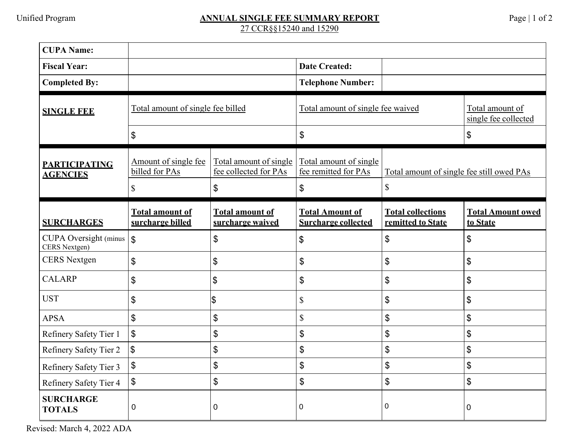## Unified Program **ANNUAL SINGLE FEE SUMMARY REPORT** Page | 1 of 2 27 CCR§§15240 and 15290

| <b>CUPA Name:</b>                                        |                                            |                                                 |                                                      |                                               |                                         |
|----------------------------------------------------------|--------------------------------------------|-------------------------------------------------|------------------------------------------------------|-----------------------------------------------|-----------------------------------------|
| <b>Fiscal Year:</b>                                      |                                            |                                                 | <b>Date Created:</b>                                 |                                               |                                         |
| <b>Completed By:</b>                                     |                                            |                                                 | <b>Telephone Number:</b>                             |                                               |                                         |
| <b>SINGLE FEE</b>                                        | Total amount of single fee billed          |                                                 | Total amount of single fee waived                    |                                               | Total amount of<br>single fee collected |
|                                                          | \$                                         |                                                 | \$                                                   |                                               | \$                                      |
| <b>PARTICIPATING</b><br><b>AGENCIES</b>                  | Amount of single fee<br>billed for PAs     | Total amount of single<br>fee collected for PAs | Total amount of single<br>fee remitted for PAs       | Total amount of single fee still owed PAs     |                                         |
|                                                          | \$                                         | \$                                              | \$                                                   | $\mathbb{S}$                                  |                                         |
| <b>SURCHARGES</b>                                        | <b>Total amount of</b><br>surcharge billed | <b>Total amount of</b><br>surcharge waived      | <b>Total Amount of</b><br><b>Surcharge collected</b> | <b>Total collections</b><br>remitted to State | <b>Total Amount owed</b><br>to State    |
| CUPA Oversight (minus $\vert \text{\$}$<br>CERS Nextgen) |                                            | \$                                              | $\boldsymbol{\mathsf{S}}$                            | \$                                            | \$                                      |
| <b>CERS</b> Nextgen                                      | \$                                         | \$                                              | \$                                                   | \$                                            | \$                                      |
| <b>CALARP</b>                                            | \$                                         | \$                                              | \$                                                   | $\mathfrak{S}$                                | \$                                      |
| <b>UST</b>                                               | \$                                         | $\frac{1}{2}$                                   | $\mathbb{S}$                                         | \$                                            | \$                                      |
| <b>APSA</b>                                              | \$                                         | \$                                              | $\mathbb{S}$                                         | $\mathfrak{S}$                                | $\mathfrak{S}$                          |
| Refinery Safety Tier 1                                   | \$                                         | \$                                              | \$                                                   | \$                                            | \$                                      |
| Refinery Safety Tier 2                                   | $\sqrt[6]{\frac{1}{2}}$                    | \$                                              | \$                                                   | \$                                            | \$                                      |
| Refinery Safety Tier 3                                   | \$                                         | $\boldsymbol{\mathsf{S}}$                       | \$                                                   | \$                                            | \$                                      |
| Refinery Safety Tier 4                                   | \$                                         | \$                                              | \$                                                   | \$                                            | \$                                      |
| <b>SURCHARGE</b><br><b>TOTALS</b>                        | 0                                          | $\mathbf 0$                                     | $\Omega$                                             | 0                                             | 0                                       |